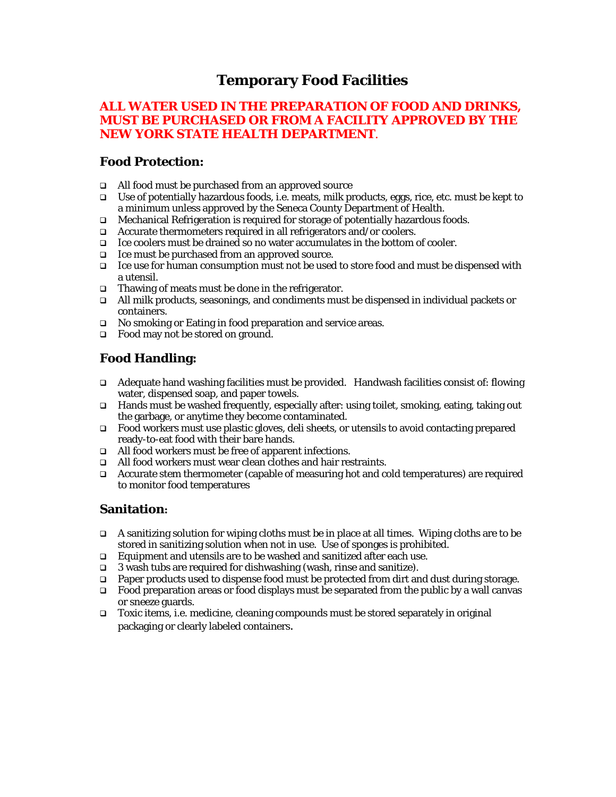# **Temporary Food Facilities**

### **ALL WATER USED IN THE PREPARATION OF FOOD AND DRINKS, MUST BE PURCHASED OR FROM A FACILITY APPROVED BY THE NEW YORK STATE HEALTH DEPARTMENT**.

### **Food Protection:**

- All food must be purchased from an approved source
- Use of potentially hazardous foods, i.e. meats, milk products, eggs, rice, etc. must be kept to a minimum unless approved by the Seneca County Department of Health.
- Mechanical Refrigeration is required for storage of potentially hazardous foods.
- $\Box$  Accurate thermometers required in all refrigerators and/or coolers.
- $\Box$  Ice coolers must be drained so no water accumulates in the bottom of cooler.
- Ice must be purchased from an approved source.
- $\Box$  Ice use for human consumption must not be used to store food and must be dispensed with a utensil.
- $\Box$  Thawing of meats must be done in the refrigerator.
- All milk products, seasonings, and condiments must be dispensed in individual packets or containers.
- □ No smoking or Eating in food preparation and service areas.
- □ Food may not be stored on ground.

## **Food Handling:**

- Adequate hand washing facilities must be provided. Handwash facilities consist of: flowing water, dispensed soap, and paper towels.
- Hands must be washed frequently, especially after: using toilet, smoking, eating, taking out the garbage, or anytime they become contaminated.
- $\Box$  Food workers must use plastic gloves, deli sheets, or utensils to avoid contacting prepared ready-to-eat food with their bare hands.
- All food workers must be free of apparent infections.
- □ All food workers must wear clean clothes and hair restraints.
- Accurate stem thermometer (capable of measuring hot and cold temperatures) are required to monitor food temperatures

#### **Sanitation:**

- A sanitizing solution for wiping cloths must be in place at all times. Wiping cloths are to be stored in sanitizing solution when not in use. Use of sponges is prohibited.
- □ Equipment and utensils are to be washed and sanitized after each use.
- $\Box$  3 wash tubs are required for dishwashing (wash, rinse and sanitize).
- Paper products used to dispense food must be protected from dirt and dust during storage.
- $\Box$  Food preparation areas or food displays must be separated from the public by a wall canvas or sneeze guards.
- Toxic items, i.e. medicine, cleaning compounds must be stored separately in original packaging or clearly labeled containers.